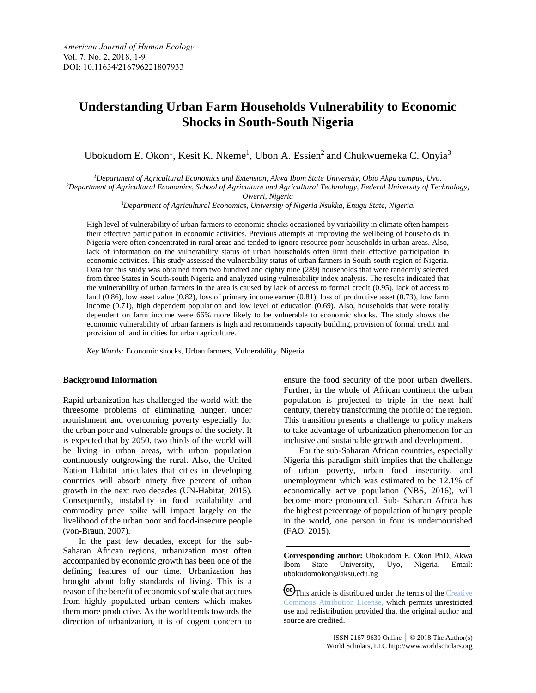# **Understanding Urban Farm Households Vulnerability to Economic Shocks in South-South Nigeria**

Ubokudom E. Okon<sup>1</sup>, Kesit K. Nkeme<sup>1</sup>, Ubon A. Essien<sup>2</sup> and Chukwuemeka C. Onyia<sup>3</sup>

*<sup>1</sup>Department of Agricultural Economics and Extension, Akwa Ibom State University, Obio Akpa campus, Uyo.*

*<sup>2</sup>Department of Agricultural Economics, School of Agriculture and Agricultural Technology, Federal University of Technology,* 

*Owerri, Nigeria*

*<sup>3</sup>Department of Agricultural Economics, University of Nigeria Nsukka, Enugu State, Nigeria.*

High level of vulnerability of urban farmers to economic shocks occasioned by variability in climate often hampers their effective participation in economic activities. Previous attempts at improving the wellbeing of households in Nigeria were often concentrated in rural areas and tended to ignore resource poor households in urban areas. Also, lack of information on the vulnerability status of urban households often limit their effective participation in economic activities. This study assessed the vulnerability status of urban farmers in South-south region of Nigeria. Data for this study was obtained from two hundred and eighty nine (289) households that were randomly selected from three States in South-south Nigeria and analyzed using vulnerability index analysis. The results indicated that the vulnerability of urban farmers in the area is caused by lack of access to formal credit (0.95), lack of access to land (0.86), low asset value (0.82), loss of primary income earner (0.81), loss of productive asset (0.73), low farm income (0.71), high dependent population and low level of education (0.69). Also, households that were totally dependent on farm income were 66% more likely to be vulnerable to economic shocks. The study shows the economic vulnerability of urban farmers is high and recommends capacity building, provision of formal credit and provision of land in cities for urban agriculture.

*Key Words:* Economic shocks, Urban farmers, Vulnerability, Nigeria

# **Background Information**

Rapid urbanization has challenged the world with the threesome problems of eliminating hunger, under nourishment and overcoming poverty especially for the urban poor and vulnerable groups of the society. It is expected that by 2050, two thirds of the world will be living in urban areas, with urban population continuously outgrowing the rural. Also, the United Nation Habitat articulates that cities in developing countries will absorb ninety five percent of urban growth in the next two decades (UN-Habitat, 2015). Consequently, instability in food availability and commodity price spike will impact largely on the livelihood of the urban poor and food-insecure people (von-Braun, 2007).

In the past few decades, except for the sub-Saharan African regions, urbanization most often accompanied by economic growth has been one of the defining features of our time. Urbanization has brought about lofty standards of living. This is a reason of the benefit of economics of scale that accrues from highly populated urban centers which makes them more productive. As the world tends towards the direction of urbanization, it is of cogent concern to ensure the food security of the poor urban dwellers. Further, in the whole of African continent the urban population is projected to triple in the next half century, thereby transforming the profile of the region. This transition presents a challenge to policy makers to take advantage of urbanization phenomenon for an inclusive and sustainable growth and development.

For the sub-Saharan African countries, especially Nigeria this paradigm shift implies that the challenge of urban poverty, urban food insecurity, and unemployment which was estimated to be 12.1% of economically active population (NBS, 2016), will become more pronounced. Sub- Saharan Africa has the highest percentage of population of hungry people in the world, one person in four is undernourished (FAO, 2015).

**Corresponding author:** Ubokudom E. Okon PhD, Akwa Ibom State University, Uyo, Nigeria. Email: ubokudomokon@aksu.edu.ng

CO This article is distributed under the terms of the Creative [Commons Attribution License,](http://creativecommons.org/licenses/by/3.0/) which permits unrestricted use and redistribution provided that the original author and source are credited.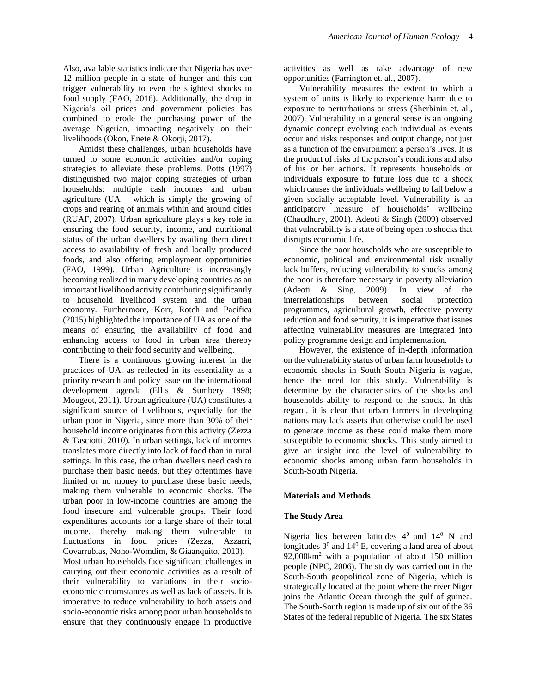Also, available statistics indicate that Nigeria has over 12 million people in a state of hunger and this can trigger vulnerability to even the slightest shocks to food supply (FAO, 2016). Additionally, the drop in Nigeria's oil prices and government policies has combined to erode the purchasing power of the average Nigerian, impacting negatively on their livelihoods (Okon, Enete & Okorji, 2017).

Amidst these challenges, urban households have turned to some economic activities and/or coping strategies to alleviate these problems. Potts (1997) distinguished two major coping strategies of urban households: multiple cash incomes and urban agriculture  $(UA - which is simply the growing of)$ crops and rearing of animals within and around cities (RUAF, 2007). Urban agriculture plays a key role in ensuring the food security, income, and nutritional status of the urban dwellers by availing them direct access to availability of fresh and locally produced foods, and also offering employment opportunities (FAO, 1999). Urban Agriculture is increasingly becoming realized in many developing countries as an important livelihood activity contributing significantly to household livelihood system and the urban economy. Furthermore, Korr, Rotch and Pacifica (2015) highlighted the importance of UA as one of the means of ensuring the availability of food and enhancing access to food in urban area thereby contributing to their food security and wellbeing.

There is a continuous growing interest in the practices of UA, as reflected in its essentiality as a priority research and policy issue on the international development agenda (Ellis & Sumbery 1998; Mougeot, 2011). Urban agriculture (UA) constitutes a significant source of livelihoods, especially for the urban poor in Nigeria, since more than 30% of their household income originates from this activity (Zezza & Tasciotti, 2010). In urban settings, lack of incomes translates more directly into lack of food than in rural settings. In this case, the urban dwellers need cash to purchase their basic needs, but they oftentimes have limited or no money to purchase these basic needs, making them vulnerable to economic shocks. The urban poor in low-income countries are among the food insecure and vulnerable groups. Their food expenditures accounts for a large share of their total income, thereby making them vulnerable to fluctuations in food prices (Zezza, Azzarri, Covarrubias, Nono-Womdim, & Giaanquito, 2013).

Most urban households face significant challenges in carrying out their economic activities as a result of their vulnerability to variations in their socioeconomic circumstances as well as lack of assets. It is imperative to reduce vulnerability to both assets and socio-economic risks among poor urban households to ensure that they continuously engage in productive activities as well as take advantage of new opportunities (Farrington et. al., 2007).

Vulnerability measures the extent to which a system of units is likely to experience harm due to exposure to perturbations or stress (Sherbinin et. al., 2007). Vulnerability in a general sense is an ongoing dynamic concept evolving each individual as events occur and risks responses and output change, not just as a function of the environment a person's lives. It is the product of risks of the person's conditions and also of his or her actions. It represents households or individuals exposure to future loss due to a shock which causes the individuals wellbeing to fall below a given socially acceptable level. Vulnerability is an anticipatory measure of households' wellbeing (Chaudhury, 2001). Adeoti & Singh (2009) observed that vulnerability is a state of being open to shocks that disrupts economic life.

Since the poor households who are susceptible to economic, political and environmental risk usually lack buffers, reducing vulnerability to shocks among the poor is therefore necessary in poverty alleviation (Adeoti & Sing, 2009). In view of the interrelationships between social protection programmes, agricultural growth, effective poverty reduction and food security, it is imperative that issues affecting vulnerability measures are integrated into policy programme design and implementation.

However, the existence of in-depth information on the vulnerability status of urban farm households to economic shocks in South South Nigeria is vague, hence the need for this study. Vulnerability is determine by the characteristics of the shocks and households ability to respond to the shock. In this regard, it is clear that urban farmers in developing nations may lack assets that otherwise could be used to generate income as these could make them more susceptible to economic shocks. This study aimed to give an insight into the level of vulnerability to economic shocks among urban farm households in South-South Nigeria.

## **Materials and Methods**

#### **The Study Area**

Nigeria lies between latitudes  $4^0$  and  $14^0$  N and longitudes  $3^0$  and  $14^0$  E, covering a land area of about 92,000km<sup>2</sup> with a population of about 150 million people (NPC, 2006). The study was carried out in the South-South geopolitical zone of Nigeria, which is strategically located at the point where the river Niger joins the Atlantic Ocean through the gulf of guinea. The South-South region is made up of six out of the 36 States of the federal republic of Nigeria. The six States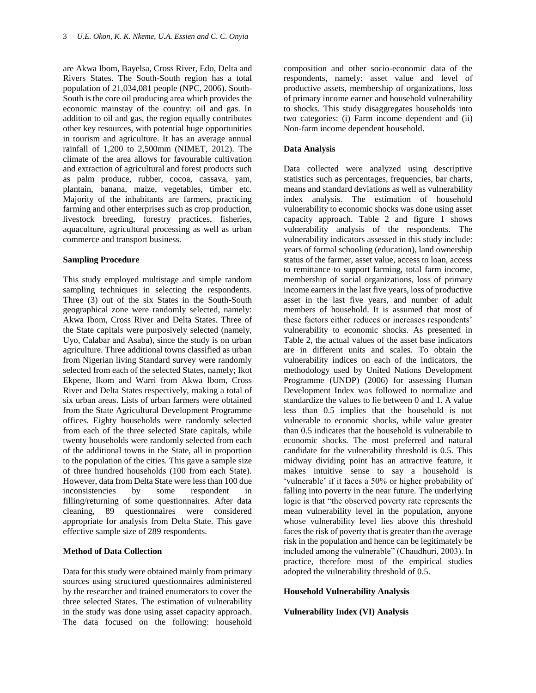are Akwa Ibom, Bayelsa, Cross River, Edo, Delta and Rivers States. The South-South region has a total population of 21,034,081 people (NPC, 2006). South-South is the core oil producing area which provides the economic mainstay of the country: oil and gas. In addition to oil and gas, the region equally contributes other key resources, with potential huge opportunities in tourism and agriculture. It has an average annual rainfall of 1,200 to 2,500mm (NIMET, 2012). The climate of the area allows for favourable cultivation and extraction of agricultural and forest products such as palm produce, rubber, cocoa, cassava, yam, plantain, banana, maize, vegetables, timber etc. Majority of the inhabitants are farmers, practicing farming and other enterprises such as crop production, livestock breeding, forestry practices, fisheries, aquaculture, agricultural processing as well as urban commerce and transport business.

# **Sampling Procedure**

This study employed multistage and simple random sampling techniques in selecting the respondents. Three (3) out of the six States in the South-South geographical zone were randomly selected, namely: Akwa Ibom, Cross River and Delta States. Three of the State capitals were purposively selected (namely, Uyo, Calabar and Asaba), since the study is on urban agriculture. Three additional towns classified as urban from Nigerian living Standard survey were randomly selected from each of the selected States, namely; Ikot Ekpene, Ikom and Warri from Akwa Ibom, Cross River and Delta States respectively, making a total of six urban areas. Lists of urban farmers were obtained from the State Agricultural Development Programme offices. Eighty households were randomly selected from each of the three selected State capitals, while twenty households were randomly selected from each of the additional towns in the State, all in proportion to the population of the cities. This gave a sample size of three hundred households (100 from each State). However, data from Delta State were less than 100 due inconsistencies by some respondent in filling/returning of some questionnaires. After data cleaning, 89 questionnaires were considered appropriate for analysis from Delta State. This gave effective sample size of 289 respondents.

## **Method of Data Collection**

Data for this study were obtained mainly from primary sources using structured questionnaires administered by the researcher and trained enumerators to cover the three selected States. The estimation of vulnerability in the study was done using asset capacity approach. The data focused on the following: household composition and other socio-economic data of the respondents, namely: asset value and level of productive assets, membership of organizations, loss of primary income earner and household vulnerability to shocks. This study disaggregates households into two categories: (i) Farm income dependent and (ii) Non-farm income dependent household.

#### **Data Analysis**

Data collected were analyzed using descriptive statistics such as percentages, frequencies, bar charts, means and standard deviations as well as vulnerability index analysis. The estimation of household vulnerability to economic shocks was done using asset capacity approach. Table 2 and figure 1 shows vulnerability analysis of the respondents. The vulnerability indicators assessed in this study include: years of formal schooling (education), land ownership status of the farmer, asset value, access to loan, access to remittance to support farming, total farm income, membership of social organizations, loss of primary income earners in the last five years, loss of productive asset in the last five years, and number of adult members of household. It is assumed that most of these factors either reduces or increases respondents' vulnerability to economic shocks. As presented in Table 2, the actual values of the asset base indicators are in different units and scales. To obtain the vulnerability indices on each of the indicators, the methodology used by United Nations Development Programme (UNDP) (2006) for assessing Human Development Index was followed to normalize and standardize the values to lie between 0 and 1. A value less than 0.5 implies that the household is not vulnerable to economic shocks, while value greater than 0.5 indicates that the household is vulnerabile to economic shocks. The most preferred and natural candidate for the vulnerability threshold is 0.5. This midway dividing point has an attractive feature, it makes intuitive sense to say a household is 'vulnerable' if it faces a 50% or higher probability of falling into poverty in the near future. The underlying logic is that "the observed poverty rate represents the mean vulnerability level in the population, anyone whose vulnerability level lies above this threshold faces the risk of poverty that is greater than the average risk in the population and hence can be legitimately be included among the vulnerable" (Chaudhuri, 2003). In practice, therefore most of the empirical studies adopted the vulnerability threshold of 0.5.

## **Household Vulnerability Analysis**

## **Vulnerability Index (VI) Analysis**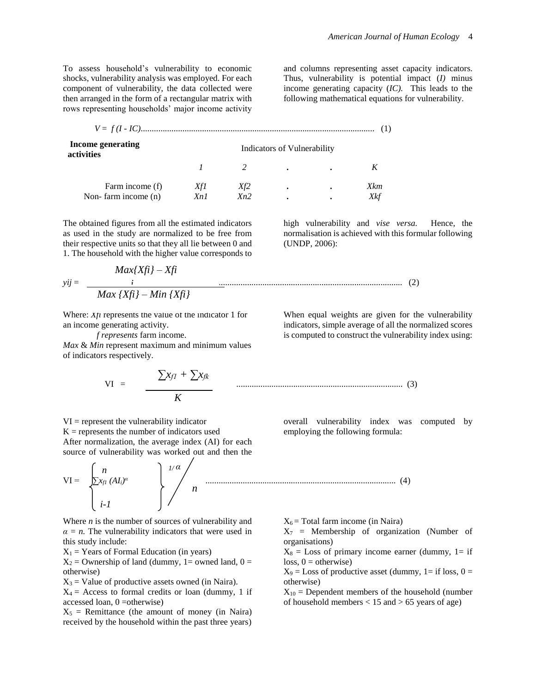To assess household's vulnerability to economic shocks, vulnerability analysis was employed. For each component of vulnerability, the data collected were then arranged in the form of a rectangular matrix with rows representing households' major income activity

and columns representing asset capacity indicators. Thus, vulnerability is potential impact (*I)* minus income generating capacity (*IC).* This leads to the following mathematical equations for vulnerability.

| Income generating<br>activities | Indicators of Vulnerability |     |           |  |            |  |  |
|---------------------------------|-----------------------------|-----|-----------|--|------------|--|--|
|                                 |                             |     |           |  |            |  |  |
| Farm income (f)                 | XfI                         | Xf2 | $\bullet$ |  | <b>Xkm</b> |  |  |
| Non-farm income (n)             | Xn1                         | Xn2 |           |  |            |  |  |

The obtained figures from all the estimated indicators as used in the study are normalized to be free from their respective units so that they all lie between 0 and 1. The household with the higher value corresponds to

high vulnerability and *vise versa.* Hence, the normalisation is achieved with this formular following (UNDP, 2006):

$$
yij = \frac{Max\{Xfi\} - Xfi}{Max\{Xfi\} - Min\{Xfi\}}
$$
 (2)

Where:  $X/t$  represents the value of the indicator 1 for where,  $\Delta \mu$  represents the varual variant variant variant variant variant variant variant variant variant variant variant variant variant variant variant variant variant variant variant variant variant variant variant v

*f represents* farm income. *Max* & *Min* represent maximum and minimum values of indicators respectively.

$$
VI = \frac{\sum x_{f1} + \sum x_{fk}}{K}
$$
 (3)

 $VI = represent the vulnerability indicator$  $K =$  represents the number of indicators used After normalization, the average index (AI) for each source of vulnerability was worked out and then the

$$
VI = \begin{bmatrix} n \\ \sum x_{f1} (AI_i)^{\alpha} \\ i - I \end{bmatrix} \begin{bmatrix} 1/\alpha \\ n \\ n \end{bmatrix}
$$

Where *n* is the number of sources of vulnerability and  $\alpha = n$ . The vulnerability indicators that were used in this study include:

 $X_1$  = Years of Formal Education (in years)

 $X_2$  = Ownership of land (dummy, 1= owned land, 0 = otherwise)

 $X_3$  = Value of productive assets owned (in Naira).

 $X_4$  = Access to formal credits or loan (dummy, 1 if accessed loan, 0 =otherwise)

 $X_5$  = Remittance (the amount of money (in Naira) received by the household within the past three years) When equal weights are given for the vulnerability indicators, simple average of all the normalized scores is computed to construct the vulnerability index using:

overall vulnerability index was computed by employing the following formula:

 $X_6$  = Total farm income (in Naira)

....................................................................................... (4)

 $X_7$  = Membership of organization (Number of organisations)

 $X_8$  = Loss of primary income earner (dummy, 1= if  $loss, 0 = otherwise$ 

 $X_9$  = Loss of productive asset (dummy, 1= if loss, 0 = otherwise)

 $X_{10}$  = Dependent members of the household (number of household members  $< 15$  and  $> 65$  years of age)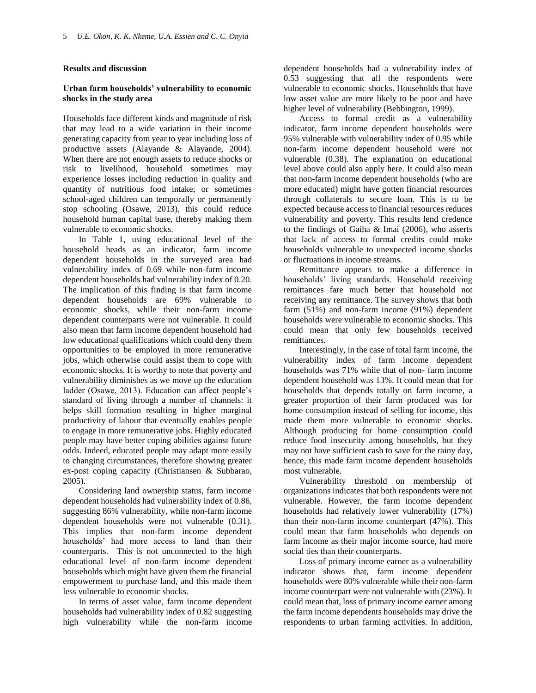#### **Results and discussion**

# **Urban farm households' vulnerability to economic shocks in the study area**

Households face different kinds and magnitude of risk that may lead to a wide variation in their income generating capacity from year to year including loss of productive assets (Alayande & Alayande, 2004). When there are not enough assets to reduce shocks or risk to livelihood, household sometimes may experience losses including reduction in quality and quantity of nutritious food intake; or sometimes school-aged children can temporally or permanently stop schooling (Osawe, 2013), this could reduce household human capital base, thereby making them vulnerable to economic shocks.

In Table 1, using educational level of the household heads as an indicator, farm income dependent households in the surveyed area had vulnerability index of 0.69 while non-farm income dependent households had vulnerability index of 0.20. The implication of this finding is that farm income dependent households are 69% vulnerable to economic shocks, while their non-farm income dependent counterparts were not vulnerable. It could also mean that farm income dependent household had low educational qualifications which could deny them opportunities to be employed in more remunerative jobs, which otherwise could assist them to cope with economic shocks. It is worthy to note that poverty and vulnerability diminishes as we move up the education ladder (Osawe, 2013). Education can affect people's standard of living through a number of channels: it helps skill formation resulting in higher marginal productivity of labour that eventually enables people to engage in more remunerative jobs. Highly educated people may have better coping abilities against future odds. Indeed, educated people may adapt more easily to changing circumstances, therefore showing greater ex-post coping capacity (Christiansen & Subbarao, 2005).

Considering land ownership status, farm income dependent households had vulnerability index of 0.86, suggesting 86% vulnerability, while non-farm income dependent households were not vulnerable (0.31). This implies that non-farm income dependent households' had more access to land than their counterparts. This is not unconnected to the high educational level of non-farm income dependent households which might have given them the financial empowerment to purchase land, and this made them less vulnerable to economic shocks.

In terms of asset value, farm income dependent households had vulnerability index of 0.82 suggesting high vulnerability while the non-farm income dependent households had a vulnerability index of 0.53 suggesting that all the respondents were vulnerable to economic shocks. Households that have low asset value are more likely to be poor and have higher level of vulnerability (Bebbington, 1999).

Access to formal credit as a vulnerability indicator, farm income dependent households were 95% vulnerable with vulnerability index of 0.95 while non-farm income dependent household were not vulnerable (0.38). The explanation on educational level above could also apply here. It could also mean that non-farm income dependent households (who are more educated) might have gotten financial resources through collaterals to secure loan. This is to be expected because access to financial resources reduces vulnerability and poverty. This results lend credence to the findings of Gaiha & Imai (2006), who asserts that lack of access to formal credits could make households vulnerable to unexpected income shocks or fluctuations in income streams.

Remittance appears to make a difference in households' living standards. Household receiving remittances fare much better that household not receiving any remittance. The survey shows that both farm (51%) and non-farm income (91%) dependent households were vulnerable to economic shocks. This could mean that only few households received remittances.

Interestingly, in the case of total farm income, the vulnerability index of farm income dependent households was 71% while that of non- farm income dependent household was 13%. It could mean that for households that depends totally on farm income, a greater proportion of their farm produced was for home consumption instead of selling for income, this made them more vulnerable to economic shocks. Although producing for home consumption could reduce food insecurity among households, but they may not have sufficient cash to save for the rainy day, hence, this made farm income dependent households most vulnerable.

Vulnerability threshold on membership of organizations indicates that both respondents were not vulnerable. However, the farm income dependent households had relatively lower vulnerability (17%) than their non-farm income counterpart (47%). This could mean that farm households who depends on farm income as their major income source, had more social ties than their counterparts.

Loss of primary income earner as a vulnerability indicator shows that, farm income dependent households were 80% vulnerable while their non-farm income counterpart were not vulnerable with (23%). It could mean that, loss of primary income earner among the farm income dependents households may drive the respondents to urban farming activities. In addition,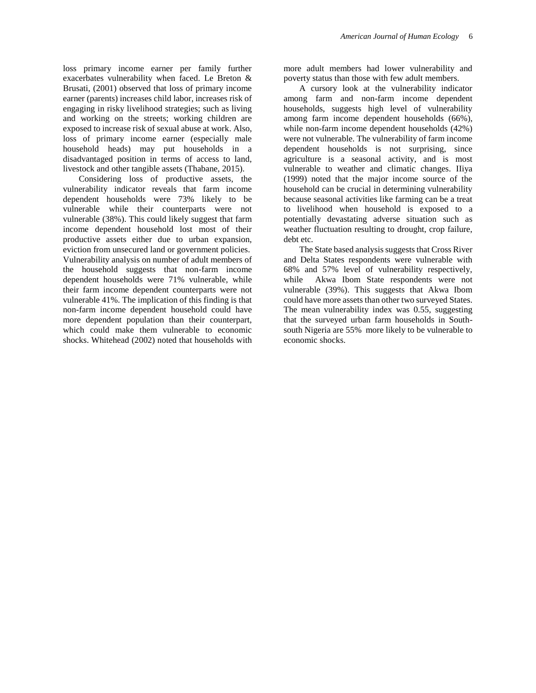loss primary income earner per family further exacerbates vulnerability when faced. Le Breton & Brusati, (2001) observed that loss of primary income earner (parents) increases child labor, increases risk of engaging in risky livelihood strategies; such as living and working on the streets; working children are exposed to increase risk of sexual abuse at work. Also, loss of primary income earner (especially male household heads) may put households in a disadvantaged position in terms of access to land, livestock and other tangible assets (Thabane, 2015).

Considering loss of productive assets, the vulnerability indicator reveals that farm income dependent households were 73% likely to be vulnerable while their counterparts were not vulnerable (38%). This could likely suggest that farm income dependent household lost most of their productive assets either due to urban expansion, eviction from unsecured land or government policies. Vulnerability analysis on number of adult members of the household suggests that non-farm income dependent households were 71% vulnerable, while their farm income dependent counterparts were not vulnerable 41%. The implication of this finding is that non-farm income dependent household could have more dependent population than their counterpart, which could make them vulnerable to economic shocks. Whitehead (2002) noted that households with

more adult members had lower vulnerability and poverty status than those with few adult members.

A cursory look at the vulnerability indicator among farm and non-farm income dependent households, suggests high level of vulnerability among farm income dependent households (66%), while non-farm income dependent households (42%) were not vulnerable. The vulnerability of farm income dependent households is not surprising, since agriculture is a seasonal activity, and is most vulnerable to weather and climatic changes. IIiya (1999) noted that the major income source of the household can be crucial in determining vulnerability because seasonal activities like farming can be a treat to livelihood when household is exposed to a potentially devastating adverse situation such as weather fluctuation resulting to drought, crop failure, debt etc.

The State based analysis suggests that Cross River and Delta States respondents were vulnerable with 68% and 57% level of vulnerability respectively, while Akwa Ibom State respondents were not vulnerable (39%). This suggests that Akwa Ibom could have more assets than other two surveyed States. The mean vulnerability index was 0.55, suggesting that the surveyed urban farm households in Southsouth Nigeria are 55% more likely to be vulnerable to economic shocks.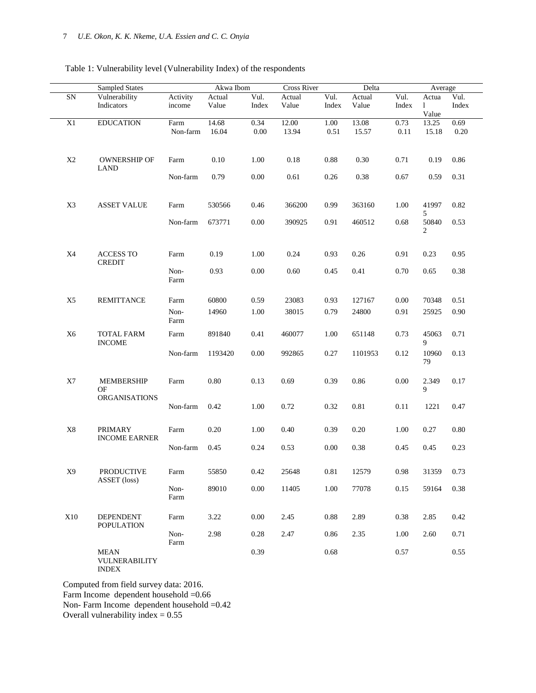# Table 1: Vulnerability level (Vulnerability Index) of the respondents

|                | Sampled States                               |                    | Akwa Ibom       |               | Cross River<br>Delta |               |                 | Average       |                                |               |
|----------------|----------------------------------------------|--------------------|-----------------|---------------|----------------------|---------------|-----------------|---------------|--------------------------------|---------------|
| ${\rm SN}$     | Vulnerability<br>Indicators                  | Activity<br>income | Actual<br>Value | Vul.<br>Index | Actual<br>Value      | Vul.<br>Index | Actual<br>Value | Vul.<br>Index | Actua<br>$\mathbf{1}$<br>Value | Vul.<br>Index |
| X1             | <b>EDUCATION</b>                             | Farm<br>Non-farm   | 14.68<br>16.04  | 0.34<br>0.00  | 12.00<br>13.94       | 1.00<br>0.51  | 13.08<br>15.57  | 0.73<br>0.11  | 13.25<br>15.18                 | 0.69<br>0.20  |
| X2             | OWNERSHIP OF<br><b>LAND</b>                  | Farm               | $0.10\,$        | 1.00          | 0.18                 | 0.88          | 0.30            | 0.71          | 0.19                           | 0.86          |
|                |                                              | Non-farm           | 0.79            | 0.00          | 0.61                 | 0.26          | 0.38            | 0.67          | 0.59                           | 0.31          |
| X3             | <b>ASSET VALUE</b>                           | Farm               | 530566          | 0.46          | 366200               | 0.99          | 363160          | 1.00          | 41997<br>5                     | 0.82          |
|                |                                              | Non-farm           | 673771          | 0.00          | 390925               | 0.91          | 460512          | 0.68          | 50840<br>2                     | 0.53          |
| X4             | <b>ACCESS TO</b><br><b>CREDIT</b>            | Farm               | 0.19            | 1.00          | 0.24                 | 0.93          | 0.26            | 0.91          | 0.23                           | 0.95          |
|                | Non-<br>Farm                                 | 0.93               | 0.00            | 0.60          | 0.45                 | 0.41          | 0.70            | 0.65          | 0.38                           |               |
| X <sub>5</sub> | <b>REMITTANCE</b>                            | Farm               | 60800           | 0.59          | 23083                | 0.93          | 127167          | 0.00          | 70348                          | 0.51          |
|                |                                              | Non-<br>Farm       | 14960           | 1.00          | 38015                | 0.79          | 24800           | 0.91          | 25925                          | 0.90          |
| X <sub>6</sub> | <b>TOTAL FARM</b><br><b>INCOME</b>           | Farm               | 891840          | 0.41          | 460077               | 1.00          | 651148          | 0.73          | 45063<br>9                     | 0.71          |
|                |                                              | Non-farm           | 1193420         | $0.00\,$      | 992865               | 0.27          | 1101953         | 0.12          | 10960<br>79                    | 0.13          |
| X7             | MEMBERSHIP<br>OF<br><b>ORGANISATIONS</b>     | Farm               | 0.80            | 0.13          | 0.69                 | 0.39          | 0.86            | 0.00          | 2.349<br>9                     | 0.17          |
|                |                                              | Non-farm           | 0.42            | 1.00          | 0.72                 | 0.32          | 0.81            | 0.11          | 1221                           | 0.47          |
| $\rm X8$       | <b>PRIMARY</b><br><b>INCOME EARNER</b>       | Farm               | 0.20            | 1.00          | 0.40                 | 0.39          | 0.20            | 1.00          | 0.27                           | $0.80\,$      |
|                |                                              | Non-farm           | 0.45            | 0.24          | 0.53                 | 0.00          | 0.38            | 0.45          | 0.45                           | 0.23          |
| X9             | <b>PRODUCTIVE</b><br>ASSET (loss)            | Farm               | 55850           | 0.42          | 25648                | 0.81          | 12579           | 0.98          | 31359                          | 0.73          |
|                |                                              | Non-<br>Farm       | 89010           | $0.00\,$      | 11405                | 1.00          | 77078           | 0.15          | 59164                          | 0.38          |
| X10            | <b>DEPENDENT</b><br><b>POPULATION</b>        | Farm               | 3.22            | 0.00          | 2.45                 | 0.88          | 2.89            | 0.38          | 2.85                           | 0.42          |
|                |                                              | Non-<br>Farm       | 2.98            | 0.28          | 2.47                 | 0.86          | 2.35            | 1.00          | 2.60                           | 0.71          |
|                | <b>MEAN</b><br>VULNERABILITY<br><b>INDEX</b> |                    |                 | 0.39          |                      | 0.68          |                 | 0.57          |                                | 0.55          |

Computed from field survey data: 2016.

Farm Income dependent household =0.66

Non- Farm Income dependent household =0.42

Overall vulnerability index  $= 0.55$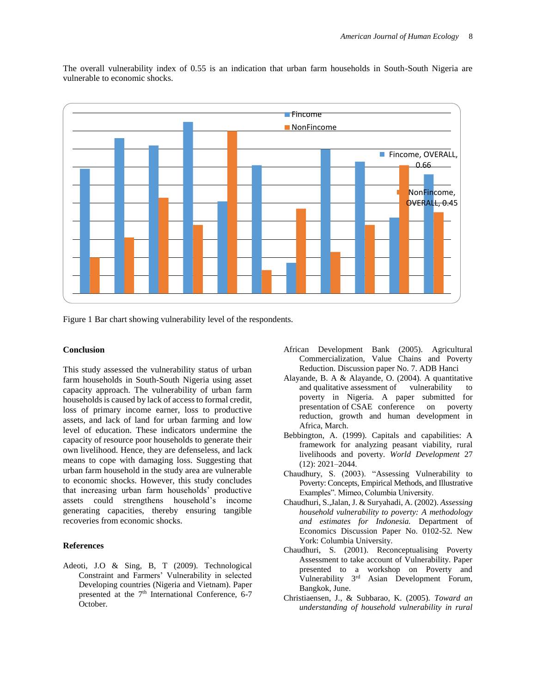

The overall vulnerability index of 0.55 is an indication that urban farm households in South-South Nigeria are vulnerable to economic shocks.

Figure 1 Bar chart showing vulnerability level of the respondents.

#### **Conclusion**

This study assessed the vulnerability status of urban farm households in South-South Nigeria using asset capacity approach. The vulnerability of urban farm households is caused by lack of access to formal credit, loss of primary income earner, loss to productive assets, and lack of land for urban farming and low level of education. These indicators undermine the capacity of resource poor households to generate their own livelihood. Hence, they are defenseless, and lack means to cope with damaging loss. Suggesting that urban farm household in the study area are vulnerable to economic shocks. However, this study concludes that increasing urban farm households' productive assets could strengthens household's income generating capacities, thereby ensuring tangible recoveries from economic shocks.

#### **References**

Adeoti, J.O & Sing, B, T (2009). Technological Constraint and Farmers' Vulnerability in selected Developing countries (Nigeria and Vietnam). Paper presented at the  $7<sup>th</sup>$  International Conference, 6-7 October.

- African Development Bank (2005). Agricultural Commercialization, Value Chains and Poverty Reduction. Discussion paper No. 7. ADB Hanci
- Alayande, B. A & Alayande, O. (2004). A quantitative and qualitative assessment of vulnerability to poverty in Nigeria. A paper submitted for presentation of CSAE conference on poverty reduction, growth and human development in Africa, March.
- Bebbington, A. (1999). Capitals and capabilities: A framework for analyzing peasant viability, rural livelihoods and poverty. *World Development* 27 (12): 2021–2044.
- Chaudhury, S. (2003). "Assessing Vulnerability to Poverty: Concepts, Empirical Methods, and Illustrative Examples". Mimeo, Columbia University.
- Chaudhuri, S.,Jalan, J. & Suryahadi, A. (2002). *Assessing household vulnerability to poverty: A methodology and estimates for Indonesia.* Department of Economics Discussion Paper No. 0102-52. New York: Columbia University.
- Chaudhuri, S. (2001). Reconceptualising Poverty Assessment to take account of Vulnerability. Paper presented to a workshop on Poverty and Vulnerability 3rd Asian Development Forum, Bangkok, June.
- Christiaensen, J., & Subbarao, K. (2005). *Toward an understanding of household vulnerability in rural*